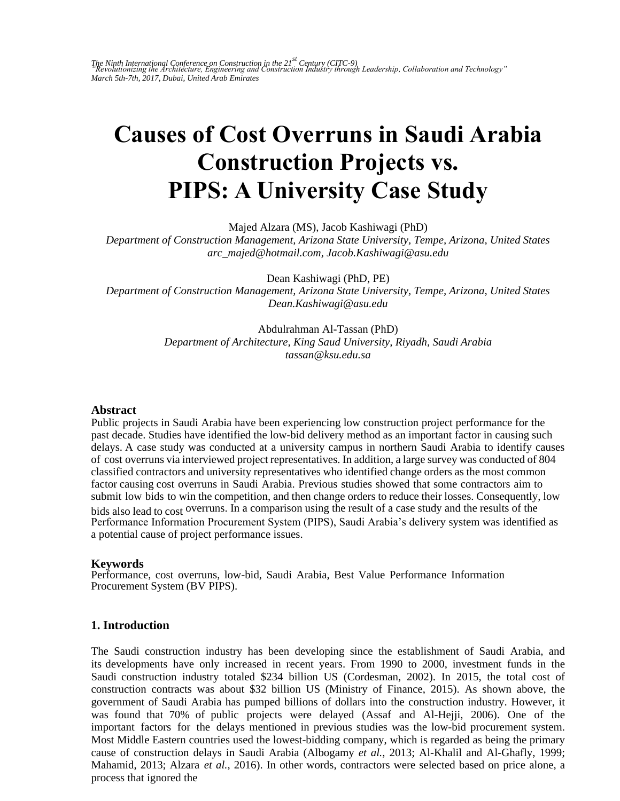# **Causes of Cost Overruns in Saudi Arabia Construction Projects vs. PIPS: A University Case Study**

Majed Alzara (MS), Jacob Kashiwagi (PhD)

*Department of Construction Management, Arizona State University, Tempe, Arizona, United States arc\_majed@hotmail.com, Jacob.Kashiwagi@asu.edu* 

Dean Kashiwagi (PhD, PE) *Department of Construction Management, Arizona State University, Tempe, Arizona, United States Dean.Kashiwagi@asu.edu* 

> Abdulrahman Al-Tassan (PhD) *Department of Architecture, King Saud University, Riyadh, Saudi Arabia tassan@ksu.edu.sa*

#### **Abstract**

Public projects in Saudi Arabia have been experiencing low construction project performance for the past decade. Studies have identified the low-bid delivery method as an important factor in causing such delays. A case study was conducted at a university campus in northern Saudi Arabia to identify causes of cost overruns via interviewed project representatives. In addition, a large survey was conducted of 804 classified contractors and university representatives who identified change orders as the most common factor causing cost overruns in Saudi Arabia. Previous studies showed that some contractors aim to submit low bids to win the competition, and then change orders to reduce their losses. Consequently, low bids also lead to cost overruns. In a comparison using the result of a case study and the results of the Performance Information Procurement System (PIPS), Saudi Arabia's delivery system was identified as a potential cause of project performance issues.

#### **Keywords**

Performance, cost overruns, low-bid, Saudi Arabia, Best Value Performance Information Procurement System (BV PIPS).

#### **1. Introduction**

The Saudi construction industry has been developing since the establishment of Saudi Arabia, and its developments have only increased in recent years. From 1990 to 2000, investment funds in the Saudi construction industry totaled \$234 billion US (Cordesman, 2002). In 2015, the total cost of construction contracts was about \$32 billion US (Ministry of Finance, 2015). As shown above, the government of Saudi Arabia has pumped billions of dollars into the construction industry. However, it was found that 70% of public projects were delayed (Assaf and Al-Hejji, 2006). One of the important factors for the delays mentioned in previous studies was the low-bid procurement system. Most Middle Eastern countries used the lowest-bidding company, which is regarded as being the primary cause of construction delays in Saudi Arabia (Albogamy *et al.*, 2013; Al-Khalil and Al-Ghafly, 1999; Mahamid, 2013; Alzara *et al.*, 2016). In other words, contractors were selected based on price alone, a process that ignored the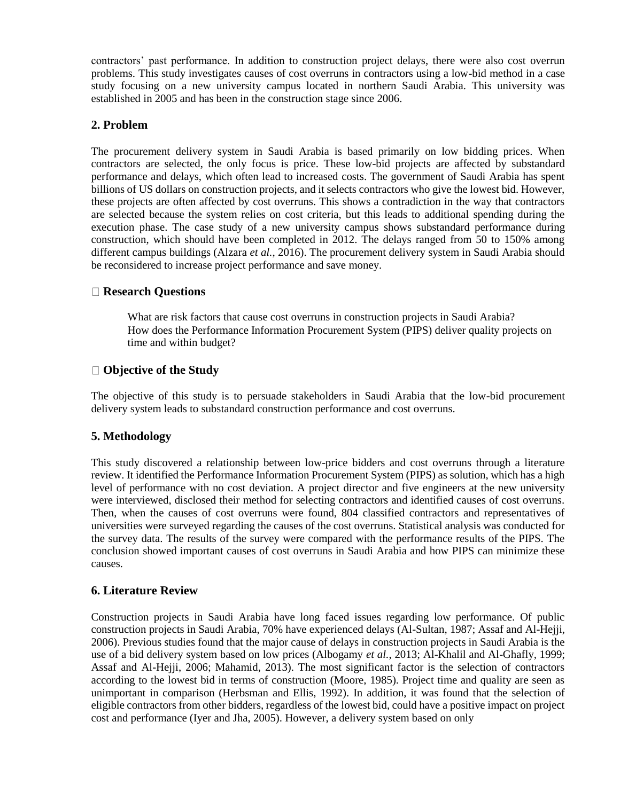contractors' past performance. In addition to construction project delays, there were also cost overrun problems. This study investigates causes of cost overruns in contractors using a low-bid method in a case study focusing on a new university campus located in northern Saudi Arabia. This university was established in 2005 and has been in the construction stage since 2006.

## **2. Problem**

The procurement delivery system in Saudi Arabia is based primarily on low bidding prices. When contractors are selected, the only focus is price. These low-bid projects are affected by substandard performance and delays, which often lead to increased costs. The government of Saudi Arabia has spent billions of US dollars on construction projects, and it selects contractors who give the lowest bid. However, these projects are often affected by cost overruns. This shows a contradiction in the way that contractors are selected because the system relies on cost criteria, but this leads to additional spending during the execution phase. The case study of a new university campus shows substandard performance during construction, which should have been completed in 2012. The delays ranged from 50 to 150% among different campus buildings (Alzara *et al.*, 2016). The procurement delivery system in Saudi Arabia should be reconsidered to increase project performance and save money.

## **Research Questions**

What are risk factors that cause cost overruns in construction projects in Saudi Arabia? How does the Performance Information Procurement System (PIPS) deliver quality projects on time and within budget?

## **Objective of the Study**

The objective of this study is to persuade stakeholders in Saudi Arabia that the low-bid procurement delivery system leads to substandard construction performance and cost overruns.

## **5. Methodology**

This study discovered a relationship between low-price bidders and cost overruns through a literature review. It identified the Performance Information Procurement System (PIPS) as solution, which has a high level of performance with no cost deviation. A project director and five engineers at the new university were interviewed, disclosed their method for selecting contractors and identified causes of cost overruns. Then, when the causes of cost overruns were found, 804 classified contractors and representatives of universities were surveyed regarding the causes of the cost overruns. Statistical analysis was conducted for the survey data. The results of the survey were compared with the performance results of the PIPS. The conclusion showed important causes of cost overruns in Saudi Arabia and how PIPS can minimize these causes.

## **6. Literature Review**

Construction projects in Saudi Arabia have long faced issues regarding low performance. Of public construction projects in Saudi Arabia, 70% have experienced delays (Al-Sultan, 1987; Assaf and Al-Hejji, 2006). Previous studies found that the major cause of delays in construction projects in Saudi Arabia is the use of a bid delivery system based on low prices (Albogamy *et al.*, 2013; Al-Khalil and Al-Ghafly, 1999; Assaf and Al-Hejji, 2006; Mahamid, 2013). The most significant factor is the selection of contractors according to the lowest bid in terms of construction (Moore, 1985). Project time and quality are seen as unimportant in comparison (Herbsman and Ellis, 1992). In addition, it was found that the selection of eligible contractors from other bidders, regardless of the lowest bid, could have a positive impact on project cost and performance (Iyer and Jha, 2005). However, a delivery system based on only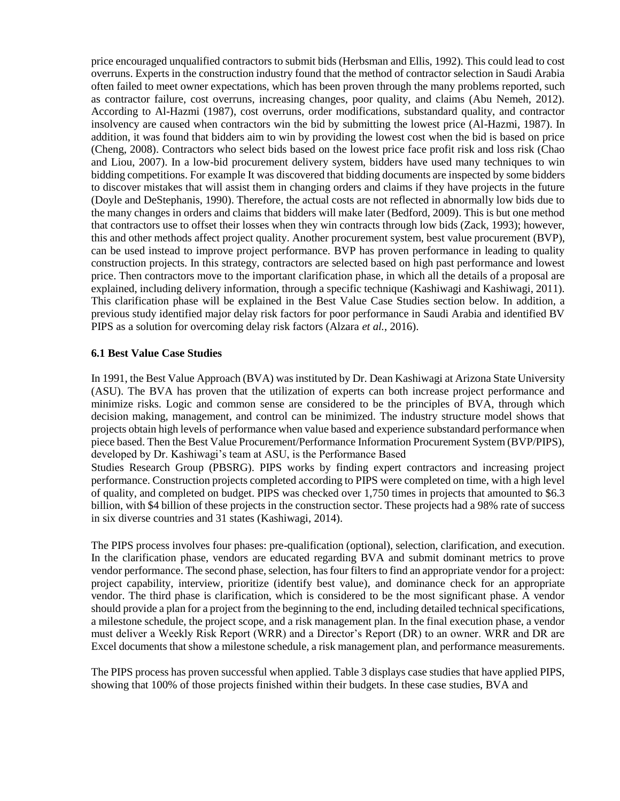price encouraged unqualified contractors to submit bids (Herbsman and Ellis, 1992). This could lead to cost overruns. Experts in the construction industry found that the method of contractor selection in Saudi Arabia often failed to meet owner expectations, which has been proven through the many problems reported, such as contractor failure, cost overruns, increasing changes, poor quality, and claims (Abu Nemeh, 2012). According to Al-Hazmi (1987), cost overruns, order modifications, substandard quality, and contractor insolvency are caused when contractors win the bid by submitting the lowest price (Al-Hazmi, 1987). In addition, it was found that bidders aim to win by providing the lowest cost when the bid is based on price (Cheng, 2008). Contractors who select bids based on the lowest price face profit risk and loss risk (Chao and Liou, 2007). In a low-bid procurement delivery system, bidders have used many techniques to win bidding competitions. For example It was discovered that bidding documents are inspected by some bidders to discover mistakes that will assist them in changing orders and claims if they have projects in the future (Doyle and DeStephanis, 1990). Therefore, the actual costs are not reflected in abnormally low bids due to the many changes in orders and claims that bidders will make later (Bedford, 2009). This is but one method that contractors use to offset their losses when they win contracts through low bids (Zack, 1993); however, this and other methods affect project quality. Another procurement system, best value procurement (BVP), can be used instead to improve project performance. BVP has proven performance in leading to quality construction projects. In this strategy, contractors are selected based on high past performance and lowest price. Then contractors move to the important clarification phase, in which all the details of a proposal are explained, including delivery information, through a specific technique (Kashiwagi and Kashiwagi, 2011). This clarification phase will be explained in the Best Value Case Studies section below. In addition, a previous study identified major delay risk factors for poor performance in Saudi Arabia and identified BV PIPS as a solution for overcoming delay risk factors (Alzara *et al.*, 2016).

#### **6.1 Best Value Case Studies**

In 1991, the Best Value Approach (BVA) was instituted by Dr. Dean Kashiwagi at Arizona State University (ASU). The BVA has proven that the utilization of experts can both increase project performance and minimize risks. Logic and common sense are considered to be the principles of BVA, through which decision making, management, and control can be minimized. The industry structure model shows that projects obtain high levels of performance when value based and experience substandard performance when piece based. Then the Best Value Procurement/Performance Information Procurement System (BVP/PIPS), developed by Dr. Kashiwagi's team at ASU, is the Performance Based

Studies Research Group (PBSRG). PIPS works by finding expert contractors and increasing project performance. Construction projects completed according to PIPS were completed on time, with a high level of quality, and completed on budget. PIPS was checked over 1,750 times in projects that amounted to \$6.3 billion, with \$4 billion of these projects in the construction sector. These projects had a 98% rate of success in six diverse countries and 31 states (Kashiwagi, 2014).

The PIPS process involves four phases: pre-qualification (optional), selection, clarification, and execution. In the clarification phase, vendors are educated regarding BVA and submit dominant metrics to prove vendor performance. The second phase, selection, has four filters to find an appropriate vendor for a project: project capability, interview, prioritize (identify best value), and dominance check for an appropriate vendor. The third phase is clarification, which is considered to be the most significant phase. A vendor should provide a plan for a project from the beginning to the end, including detailed technical specifications, a milestone schedule, the project scope, and a risk management plan. In the final execution phase, a vendor must deliver a Weekly Risk Report (WRR) and a Director's Report (DR) to an owner. WRR and DR are Excel documents that show a milestone schedule, a risk management plan, and performance measurements.

The PIPS process has proven successful when applied. Table 3 displays case studies that have applied PIPS, showing that 100% of those projects finished within their budgets. In these case studies, BVA and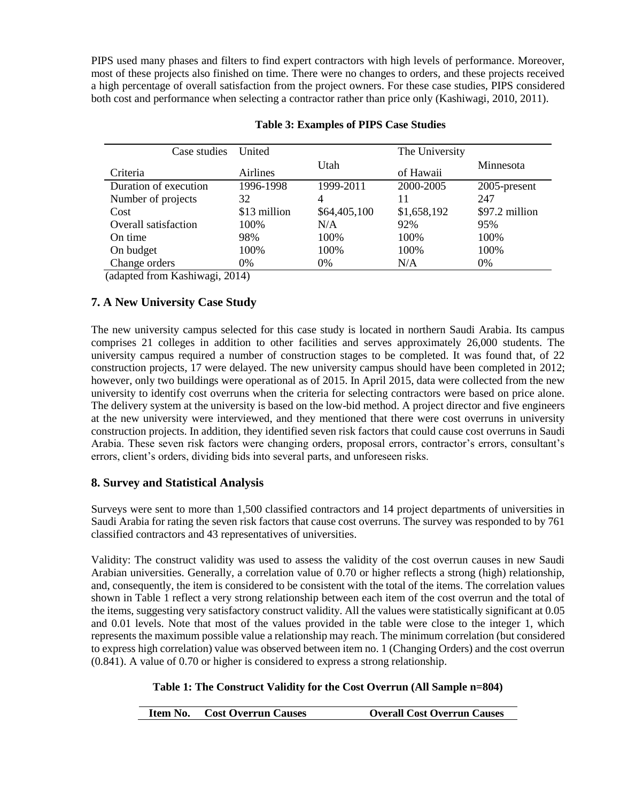PIPS used many phases and filters to find expert contractors with high levels of performance. Moreover, most of these projects also finished on time. There were no changes to orders, and these projects received a high percentage of overall satisfaction from the project owners. For these case studies, PIPS considered both cost and performance when selecting a contractor rather than price only (Kashiwagi, 2010, 2011).

| Case studies          | United           |              | The University |                |  |
|-----------------------|------------------|--------------|----------------|----------------|--|
| Criteria              | Utah<br>Airlines |              | of Hawaii      | Minnesota      |  |
| Duration of execution | 1996-1998        | 1999-2011    | 2000-2005      | 2005-present   |  |
| Number of projects    | 32               | 4            | 11             | 247            |  |
| Cost                  | \$13 million     | \$64,405,100 | \$1,658,192    | \$97.2 million |  |
| Overall satisfaction  | 100\%            | N/A          | 92%            | 95%            |  |
| On time               | 98%              | 100%         | 100\%          | 100%           |  |
| On budget             | 100\%            | 100%         | 100%           | 100%           |  |
| Change orders         | 0%               | 0%           | N/A            | 0%             |  |

### **Table 3: Examples of PIPS Case Studies**

(adapted from Kashiwagi, 2014)

# **7. A New University Case Study**

The new university campus selected for this case study is located in northern Saudi Arabia. Its campus comprises 21 colleges in addition to other facilities and serves approximately 26,000 students. The university campus required a number of construction stages to be completed. It was found that, of 22 construction projects, 17 were delayed. The new university campus should have been completed in 2012; however, only two buildings were operational as of 2015. In April 2015, data were collected from the new university to identify cost overruns when the criteria for selecting contractors were based on price alone. The delivery system at the university is based on the low-bid method. A project director and five engineers at the new university were interviewed, and they mentioned that there were cost overruns in university construction projects. In addition, they identified seven risk factors that could cause cost overruns in Saudi Arabia. These seven risk factors were changing orders, proposal errors, contractor's errors, consultant's errors, client's orders, dividing bids into several parts, and unforeseen risks.

# **8. Survey and Statistical Analysis**

Surveys were sent to more than 1,500 classified contractors and 14 project departments of universities in Saudi Arabia for rating the seven risk factors that cause cost overruns. The survey was responded to by 761 classified contractors and 43 representatives of universities.

Validity: The construct validity was used to assess the validity of the cost overrun causes in new Saudi Arabian universities. Generally, a correlation value of 0.70 or higher reflects a strong (high) relationship, and, consequently, the item is considered to be consistent with the total of the items. The correlation values shown in Table 1 reflect a very strong relationship between each item of the cost overrun and the total of the items, suggesting very satisfactory construct validity. All the values were statistically significant at 0.05 and 0.01 levels. Note that most of the values provided in the table were close to the integer 1, which represents the maximum possible value a relationship may reach. The minimum correlation (but considered to express high correlation) value was observed between item no. 1 (Changing Orders) and the cost overrun (0.841). A value of 0.70 or higher is considered to express a strong relationship.

## **Table 1: The Construct Validity for the Cost Overrun (All Sample n=804)**

| <b>Item No.</b> Cost Overrun Causes | <b>Overall Cost Overrun Causes</b> |
|-------------------------------------|------------------------------------|
|-------------------------------------|------------------------------------|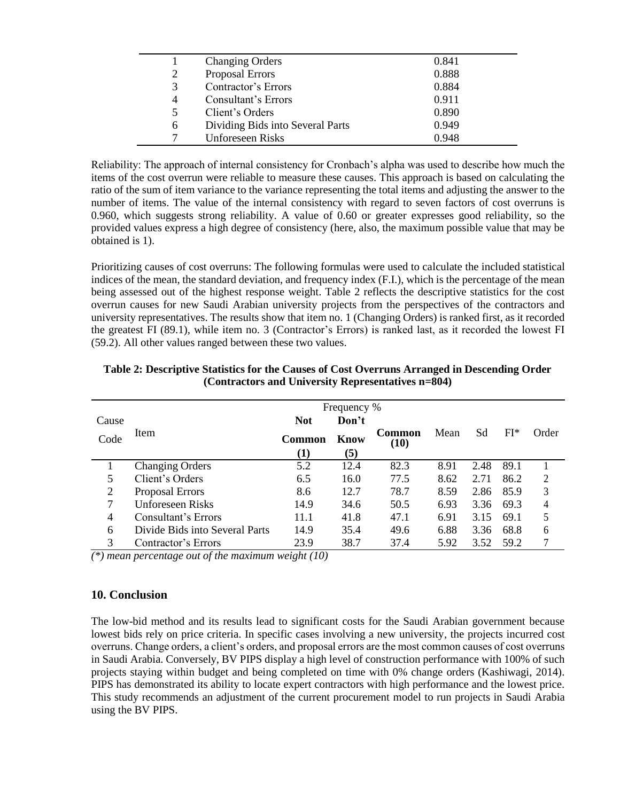|   | <b>Changing Orders</b>           | 0.841 |
|---|----------------------------------|-------|
| 2 | Proposal Errors                  | 0.888 |
| 3 | Contractor's Errors              | 0.884 |
| 4 | Consultant's Errors              | 0.911 |
| 5 | Client's Orders                  | 0.890 |
| 6 | Dividing Bids into Several Parts | 0.949 |
|   | <b>Unforeseen Risks</b>          | 0.948 |

Reliability: The approach of internal consistency for Cronbach's alpha was used to describe how much the items of the cost overrun were reliable to measure these causes. This approach is based on calculating the ratio of the sum of item variance to the variance representing the total items and adjusting the answer to the number of items. The value of the internal consistency with regard to seven factors of cost overruns is 0.960, which suggests strong reliability. A value of 0.60 or greater expresses good reliability, so the provided values express a high degree of consistency (here, also, the maximum possible value that may be obtained is 1).

Prioritizing causes of cost overruns: The following formulas were used to calculate the included statistical indices of the mean, the standard deviation, and frequency index (F.I.), which is the percentage of the mean being assessed out of the highest response weight. Table 2 reflects the descriptive statistics for the cost overrun causes for new Saudi Arabian university projects from the perspectives of the contractors and university representatives. The results show that item no. 1 (Changing Orders) is ranked first, as it recorded the greatest FI (89.1), while item no. 3 (Contractor's Errors) is ranked last, as it recorded the lowest FI (59.2). All other values ranged between these two values.

|       | Frequency %                    |            |       |                       |      |      |       |       |
|-------|--------------------------------|------------|-------|-----------------------|------|------|-------|-------|
| Cause |                                | <b>Not</b> | Don't |                       |      |      |       |       |
| Code  | Item                           | Common     | Know  | <b>Common</b><br>(10) | Mean | Sd   | $FI*$ | Order |
|       |                                | $\bf(1)$   | (5)   |                       |      |      |       |       |
|       | <b>Changing Orders</b>         | 5.2        | 12.4  | 82.3                  | 8.91 | 2.48 | 89.1  |       |
|       | Client's Orders                | 6.5        | 16.0  | 77.5                  | 8.62 | 2.71 | 86.2  | 2     |
| 2     | Proposal Errors                | 8.6        | 12.7  | 78.7                  | 8.59 | 2.86 | 85.9  | 3     |
| 7     | Unforeseen Risks               | 14.9       | 34.6  | 50.5                  | 6.93 | 3.36 | 69.3  | 4     |
| 4     | Consultant's Errors            | 11.1       | 41.8  | 47.1                  | 6.91 | 3.15 | 69.1  | 5     |
| 6     | Divide Bids into Several Parts | 14.9       | 35.4  | 49.6                  | 6.88 | 3.36 | 68.8  | 6     |
| 3     | Contractor's Errors            | 23.9       | 38.7  | 37.4                  | 5.92 | 3.52 | 59.2  |       |

**Table 2: Descriptive Statistics for the Causes of Cost Overruns Arranged in Descending Order (Contractors and University Representatives n=804)**

*(\*) mean percentage out of the maximum weight (10)*

#### **10. Conclusion**

The low-bid method and its results lead to significant costs for the Saudi Arabian government because lowest bids rely on price criteria. In specific cases involving a new university, the projects incurred cost overruns. Change orders, a client's orders, and proposal errors are the most common causes of cost overruns in Saudi Arabia. Conversely, BV PIPS display a high level of construction performance with 100% of such projects staying within budget and being completed on time with 0% change orders (Kashiwagi, 2014). PIPS has demonstrated its ability to locate expert contractors with high performance and the lowest price. This study recommends an adjustment of the current procurement model to run projects in Saudi Arabia using the BV PIPS.